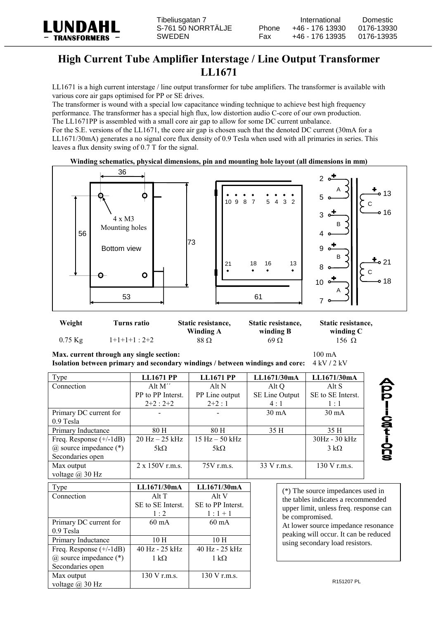

## **High Current Tube Amplifier Interstage / Line Output Transformer LL1671**

LL1671 is a high current interstage / line output transformer for tube amplifiers. The transformer is available with various core air gaps optimised for PP or SE drives.

The transformer is wound with a special low capacitance winding technique to achieve best high frequency performance. The transformer has a special high flux, low distortion audio C-core of our own production. The LL1671PP is assembled with a small core air gap to allow for some DC current unbalance.

For the S.E. versions of the LL1671, the core air gap is chosen such that the denoted DC current (30mA for a LL1671/30mA) generates a no signal core flux density of 0.9 Tesla when used with all primaries in series. This leaves a flux density swing of 0.7 T for the signal.

## **Winding schematics, physical dimensions, pin and mounting hole layout (all dimensions in mm)**



| Weight    | Turns ratio     | Static resistance,<br>Static resistance, |            | Static resistance, |  |
|-----------|-----------------|------------------------------------------|------------|--------------------|--|
|           |                 | Winding A                                | winding B  | winding C          |  |
| $0.75$ Kg | $1+1+1+1$ : 2+2 | 88 Ω                                     | $69\Omega$ | 156 $\Omega$       |  |

**Max. current through any single section:** 100 mA

voltage @ 30 Hz

| Isolation between primary and secondary windings / between windings and core: 4 kV / 2 kV |  |
|-------------------------------------------------------------------------------------------|--|
|                                                                                           |  |

| Type                         | <b>LL1671 PP</b>       | <b>LL1671 PP</b>    | LL1671/30mA     | LL1671/30mA                                                              |          |  |
|------------------------------|------------------------|---------------------|-----------------|--------------------------------------------------------------------------|----------|--|
| Connection                   | Alt M"                 | Alt N               | Alt Q           | Alt S                                                                    |          |  |
|                              | PP to PP Interst.      | PP Line output      | SE Line Output  | SE to SE Interst.                                                        | pō       |  |
|                              | $2+2:2+2$              | $2+2:1$             | 4:1             | 1:1                                                                      |          |  |
| Primary DC current for       |                        |                     | $30 \text{ mA}$ | $30 \text{ mA}$                                                          |          |  |
| 0.9 Tesla                    |                        |                     |                 |                                                                          |          |  |
| Primary Inductance           | 80 H                   | 80 H                | 35 H            | 35 H                                                                     | idations |  |
| Freq. Response $(+/-1dB)$    | $20$ Hz $-25$ kHz      | $15 Hz - 50 kHz$    |                 | 30Hz - 30 kHz                                                            |          |  |
| $(a)$ source impedance $(*)$ | 5k $\Omega$            | $5k\Omega$          |                 | $3 k\Omega$                                                              |          |  |
| Secondaries open             |                        |                     |                 |                                                                          |          |  |
| Max output                   | $2 \times 150V$ r.m.s. | 75V r.m.s.          | 33 V r.m.s.     | 130 V r.m.s.                                                             |          |  |
| voltage $\omega$ 30 Hz       |                        |                     |                 |                                                                          |          |  |
| Type                         | LL1671/30mA            | LL1671/30mA         |                 |                                                                          |          |  |
| Connection                   | Alt T                  | Alt V               |                 | (*) The source impedances used in<br>the tables indicates a recommended  |          |  |
|                              | SE to SE Interst.      | SE to PP Interst.   |                 |                                                                          |          |  |
|                              | 1:2                    | $1:1+1$             |                 | upper limit, unless freq. response can                                   |          |  |
| Primary DC current for       | $60 \text{ mA}$        | $60 \text{ mA}$     |                 | be compromised.                                                          |          |  |
| 0.9 Tesla                    |                        |                     |                 | At lower source impedance resonance                                      |          |  |
| Primary Inductance           | 10 <sub>H</sub>        | 10 <sub>H</sub>     |                 | peaking will occur. It can be reduced<br>using secondary load resistors. |          |  |
| Freq. Response $(+/-1dB)$    | 40 Hz - 25 kHz         | 40 Hz - 25 kHz      |                 |                                                                          |          |  |
| $(a)$ source impedance $(*)$ | $1 \text{ k}\Omega$    | $1 \text{ k}\Omega$ |                 |                                                                          |          |  |
| Secondaries open             |                        |                     |                 |                                                                          |          |  |
| Max output                   | 130 V r.m.s.           | 130 V r.m.s.        |                 |                                                                          |          |  |

R151207 PL